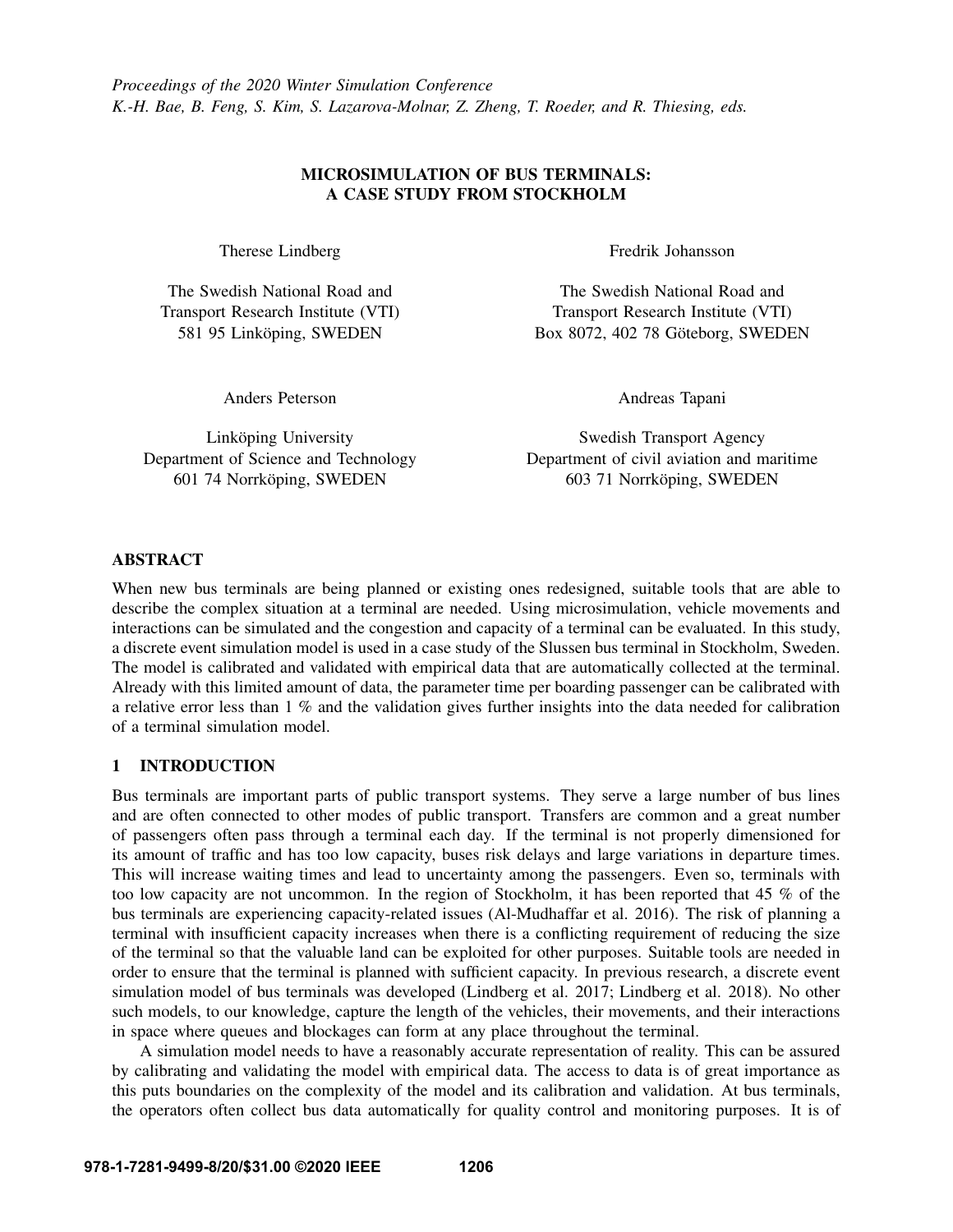# MICROSIMULATION OF BUS TERMINALS: A CASE STUDY FROM STOCKHOLM

Therese Lindberg

The Swedish National Road and Transport Research Institute (VTI) 581 95 Linköping, SWEDEN

Anders Peterson

Linköping University Department of Science and Technology 601 74 Norrköping, SWEDEN

Fredrik Johansson

The Swedish National Road and Transport Research Institute (VTI) Box 8072, 402 78 Göteborg, SWEDEN

Andreas Tapani

Swedish Transport Agency Department of civil aviation and maritime 603 71 Norrköping, SWEDEN

# ABSTRACT

When new bus terminals are being planned or existing ones redesigned, suitable tools that are able to describe the complex situation at a terminal are needed. Using microsimulation, vehicle movements and interactions can be simulated and the congestion and capacity of a terminal can be evaluated. In this study, a discrete event simulation model is used in a case study of the Slussen bus terminal in Stockholm, Sweden. The model is calibrated and validated with empirical data that are automatically collected at the terminal. Already with this limited amount of data, the parameter time per boarding passenger can be calibrated with a relative error less than 1 % and the validation gives further insights into the data needed for calibration of a terminal simulation model.

# 1 INTRODUCTION

Bus terminals are important parts of public transport systems. They serve a large number of bus lines and are often connected to other modes of public transport. Transfers are common and a great number of passengers often pass through a terminal each day. If the terminal is not properly dimensioned for its amount of traffic and has too low capacity, buses risk delays and large variations in departure times. This will increase waiting times and lead to uncertainty among the passengers. Even so, terminals with too low capacity are not uncommon. In the region of Stockholm, it has been reported that 45 % of the bus terminals are experiencing capacity-related issues [\(Al-Mudhaffar et al. 2016\)](#page-10-0). The risk of planning a terminal with insufficient capacity increases when there is a conflicting requirement of reducing the size of the terminal so that the valuable land can be exploited for other purposes. Suitable tools are needed in order to ensure that the terminal is planned with sufficient capacity. In previous research, a discrete event simulation model of bus terminals was developed [\(Lindberg et al. 2017;](#page-10-1) [Lindberg et al. 2018\)](#page-10-2). No other such models, to our knowledge, capture the length of the vehicles, their movements, and their interactions in space where queues and blockages can form at any place throughout the terminal.

A simulation model needs to have a reasonably accurate representation of reality. This can be assured by calibrating and validating the model with empirical data. The access to data is of great importance as this puts boundaries on the complexity of the model and its calibration and validation. At bus terminals, the operators often collect bus data automatically for quality control and monitoring purposes. It is of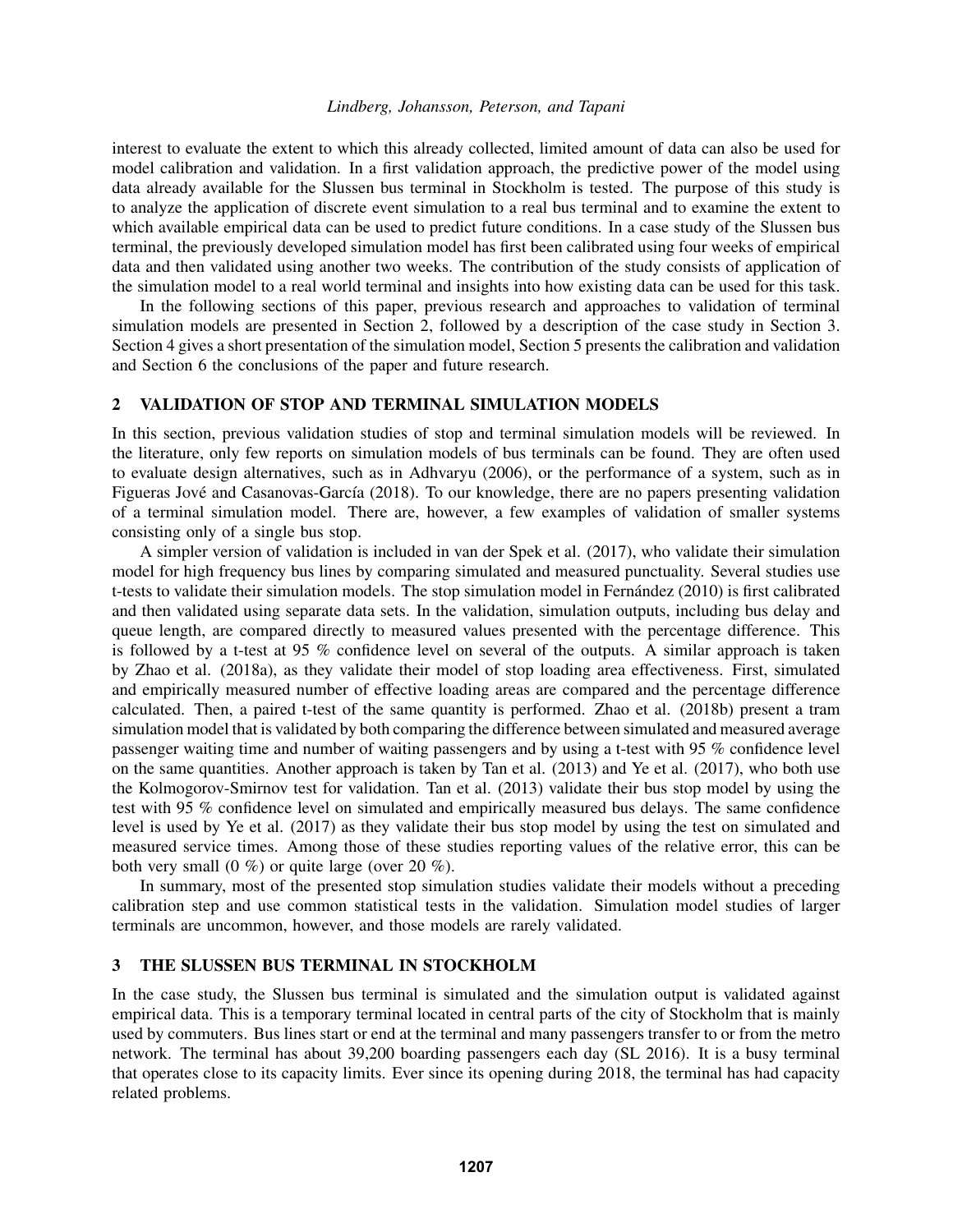interest to evaluate the extent to which this already collected, limited amount of data can also be used for model calibration and validation. In a first validation approach, the predictive power of the model using data already available for the Slussen bus terminal in Stockholm is tested. The purpose of this study is to analyze the application of discrete event simulation to a real bus terminal and to examine the extent to which available empirical data can be used to predict future conditions. In a case study of the Slussen bus terminal, the previously developed simulation model has first been calibrated using four weeks of empirical data and then validated using another two weeks. The contribution of the study consists of application of the simulation model to a real world terminal and insights into how existing data can be used for this task.

In the following sections of this paper, previous research and approaches to validation of terminal simulation models are presented in Section [2,](#page-1-0) followed by a description of the case study in Section [3.](#page-1-1) Section [4](#page-5-0) gives a short presentation of the simulation model, Section [5](#page-7-0) presents the calibration and validation and Section [6](#page-10-3) the conclusions of the paper and future research.

# <span id="page-1-0"></span>2 VALIDATION OF STOP AND TERMINAL SIMULATION MODELS

In this section, previous validation studies of stop and terminal simulation models will be reviewed. In the literature, only few reports on simulation models of bus terminals can be found. They are often used to evaluate design alternatives, such as in [Adhvaryu \(2006\),](#page-10-4) or the performance of a system, such as in Figueras Jové and Casanovas-García (2018). To our knowledge, there are no papers presenting validation of a terminal simulation model. There are, however, a few examples of validation of smaller systems consisting only of a single bus stop.

A simpler version of validation is included in [van der Spek et al. \(2017\),](#page-11-0) who validate their simulation model for high frequency bus lines by comparing simulated and measured punctuality. Several studies use t-tests to validate their simulation models. The stop simulation model in Fernández (2010) is first calibrated and then validated using separate data sets. In the validation, simulation outputs, including bus delay and queue length, are compared directly to measured values presented with the percentage difference. This is followed by a t-test at 95 % confidence level on several of the outputs. A similar approach is taken by [Zhao et al. \(2018a\),](#page-11-1) as they validate their model of stop loading area effectiveness. First, simulated and empirically measured number of effective loading areas are compared and the percentage difference calculated. Then, a paired t-test of the same quantity is performed. [Zhao et al. \(2018b\)](#page-11-2) present a tram simulation model that is validated by both comparing the difference between simulated and measured average passenger waiting time and number of waiting passengers and by using a t-test with 95 % confidence level on the same quantities. Another approach is taken by [Tan et al. \(2013\)](#page-10-7) and [Ye et al. \(2017\),](#page-11-3) who both use the Kolmogorov-Smirnov test for validation. [Tan et al. \(2013\)](#page-10-7) validate their bus stop model by using the test with 95 % confidence level on simulated and empirically measured bus delays. The same confidence level is used by [Ye et al. \(2017\)](#page-11-3) as they validate their bus stop model by using the test on simulated and measured service times. Among those of these studies reporting values of the relative error, this can be both very small  $(0 \%)$  or quite large (over 20 %).

In summary, most of the presented stop simulation studies validate their models without a preceding calibration step and use common statistical tests in the validation. Simulation model studies of larger terminals are uncommon, however, and those models are rarely validated.

#### <span id="page-1-1"></span>3 THE SLUSSEN BUS TERMINAL IN STOCKHOLM

In the case study, the Slussen bus terminal is simulated and the simulation output is validated against empirical data. This is a temporary terminal located in central parts of the city of Stockholm that is mainly used by commuters. Bus lines start or end at the terminal and many passengers transfer to or from the metro network. The terminal has about 39,200 boarding passengers each day [\(SL 2016\)](#page-10-8). It is a busy terminal that operates close to its capacity limits. Ever since its opening during 2018, the terminal has had capacity related problems.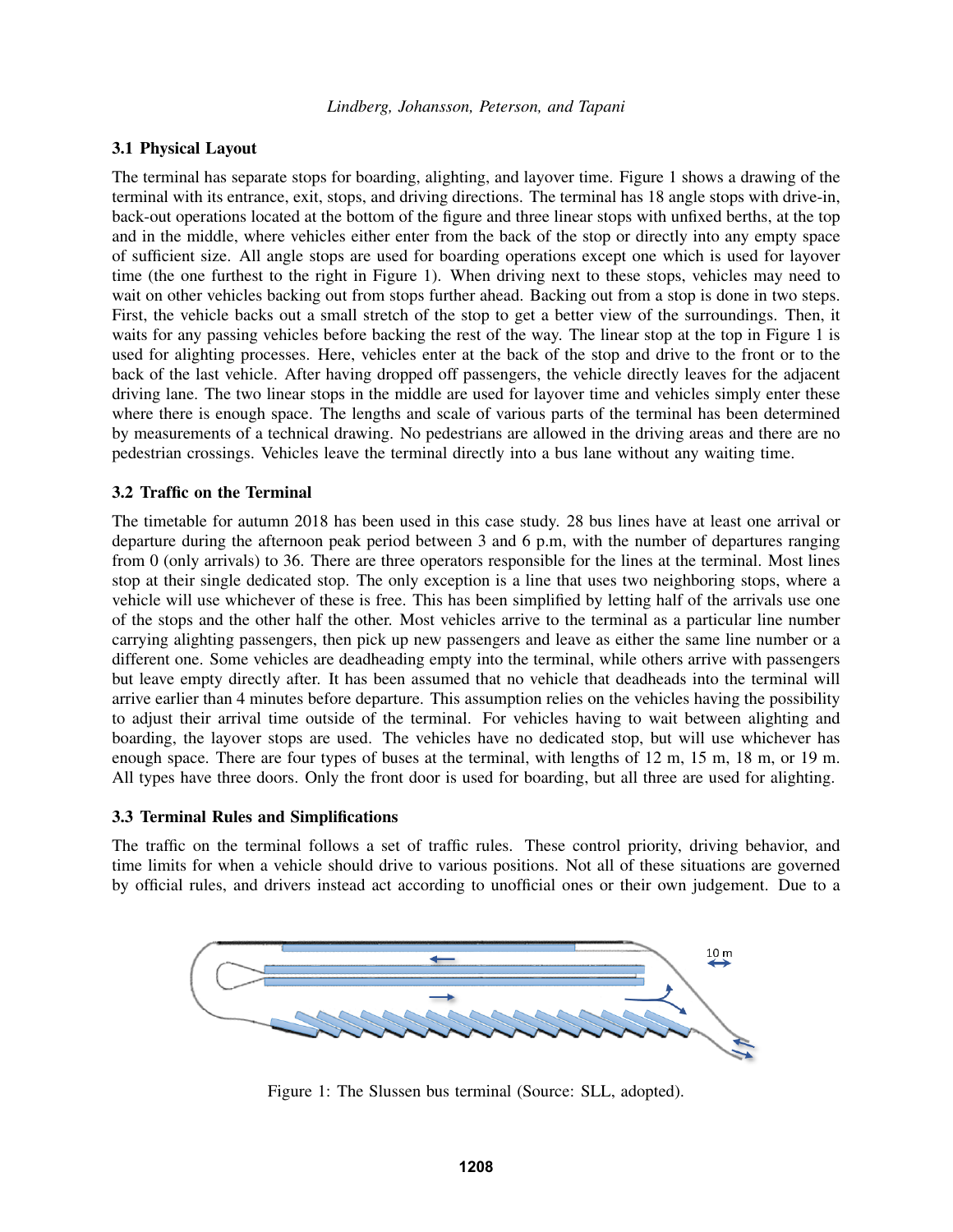# 3.1 Physical Layout

The terminal has separate stops for boarding, alighting, and layover time. Figure [1](#page-2-0) shows a drawing of the terminal with its entrance, exit, stops, and driving directions. The terminal has 18 angle stops with drive-in, back-out operations located at the bottom of the figure and three linear stops with unfixed berths, at the top and in the middle, where vehicles either enter from the back of the stop or directly into any empty space of sufficient size. All angle stops are used for boarding operations except one which is used for layover time (the one furthest to the right in Figure [1\)](#page-2-0). When driving next to these stops, vehicles may need to wait on other vehicles backing out from stops further ahead. Backing out from a stop is done in two steps. First, the vehicle backs out a small stretch of the stop to get a better view of the surroundings. Then, it waits for any passing vehicles before backing the rest of the way. The linear stop at the top in Figure [1](#page-2-0) is used for alighting processes. Here, vehicles enter at the back of the stop and drive to the front or to the back of the last vehicle. After having dropped off passengers, the vehicle directly leaves for the adjacent driving lane. The two linear stops in the middle are used for layover time and vehicles simply enter these where there is enough space. The lengths and scale of various parts of the terminal has been determined by measurements of a technical drawing. No pedestrians are allowed in the driving areas and there are no pedestrian crossings. Vehicles leave the terminal directly into a bus lane without any waiting time.

# 3.2 Traffic on the Terminal

The timetable for autumn 2018 has been used in this case study. 28 bus lines have at least one arrival or departure during the afternoon peak period between 3 and 6 p.m, with the number of departures ranging from 0 (only arrivals) to 36. There are three operators responsible for the lines at the terminal. Most lines stop at their single dedicated stop. The only exception is a line that uses two neighboring stops, where a vehicle will use whichever of these is free. This has been simplified by letting half of the arrivals use one of the stops and the other half the other. Most vehicles arrive to the terminal as a particular line number carrying alighting passengers, then pick up new passengers and leave as either the same line number or a different one. Some vehicles are deadheading empty into the terminal, while others arrive with passengers but leave empty directly after. It has been assumed that no vehicle that deadheads into the terminal will arrive earlier than 4 minutes before departure. This assumption relies on the vehicles having the possibility to adjust their arrival time outside of the terminal. For vehicles having to wait between alighting and boarding, the layover stops are used. The vehicles have no dedicated stop, but will use whichever has enough space. There are four types of buses at the terminal, with lengths of 12 m, 15 m, 18 m, or 19 m. All types have three doors. Only the front door is used for boarding, but all three are used for alighting.

# 3.3 Terminal Rules and Simplifications

<span id="page-2-0"></span>The traffic on the terminal follows a set of traffic rules. These control priority, driving behavior, and time limits for when a vehicle should drive to various positions. Not all of these situations are governed by official rules, and drivers instead act according to unofficial ones or their own judgement. Due to a



Figure 1: The Slussen bus terminal (Source: SLL, adopted).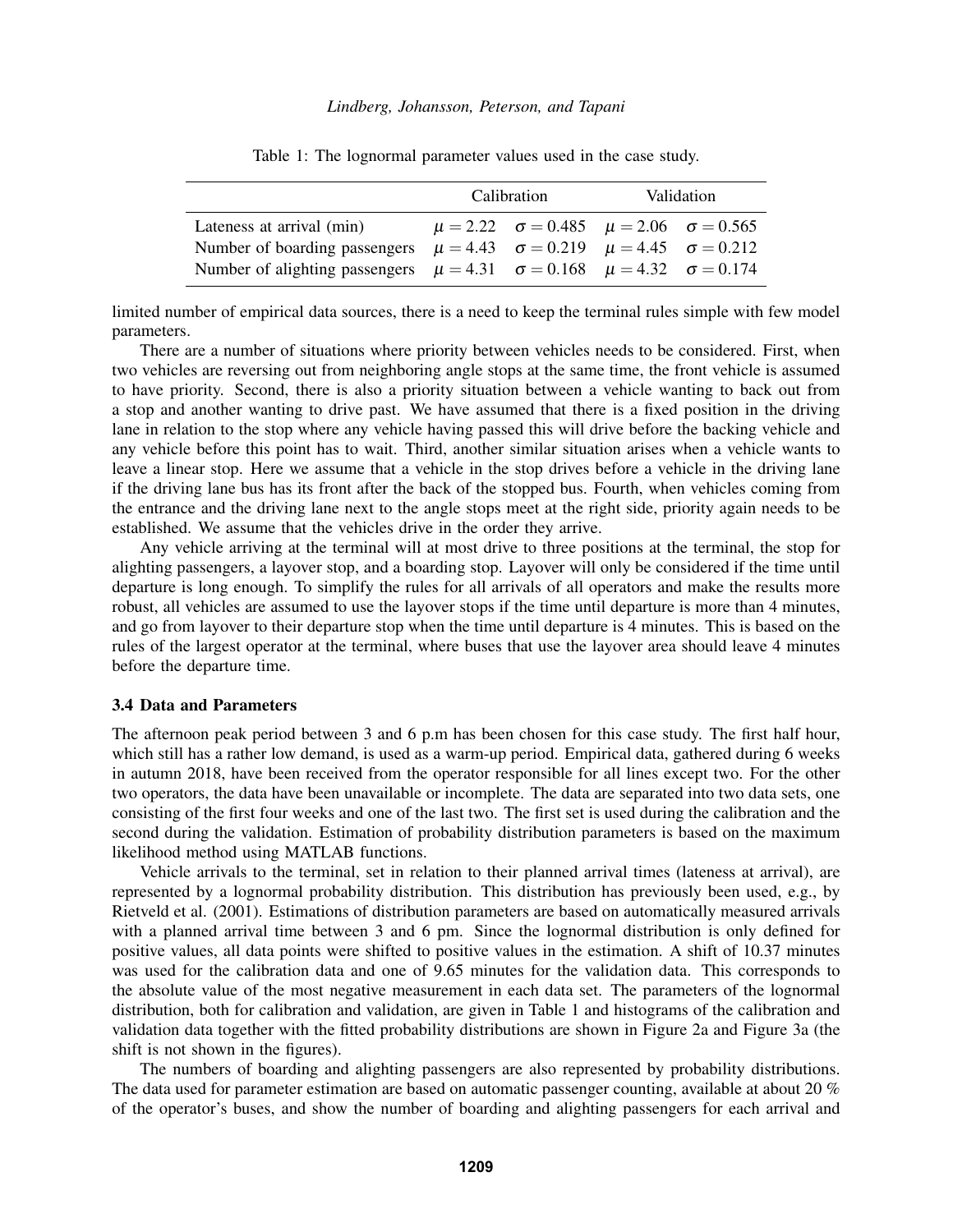<span id="page-3-0"></span>

|                                                                                            | Calibration |                                                                         | Validation |  |
|--------------------------------------------------------------------------------------------|-------------|-------------------------------------------------------------------------|------------|--|
| Lateness at arrival (min)                                                                  |             | $\mu = 2.22 \quad \sigma = 0.485 \quad \mu = 2.06 \quad \sigma = 0.565$ |            |  |
| Number of boarding passengers                                                              |             | $\mu = 4.43$ $\sigma = 0.219$ $\mu = 4.45$ $\sigma = 0.212$             |            |  |
| Number of alighting passengers $\mu = 4.31$ $\sigma = 0.168$ $\mu = 4.32$ $\sigma = 0.174$ |             |                                                                         |            |  |

Table 1: The lognormal parameter values used in the case study.

limited number of empirical data sources, there is a need to keep the terminal rules simple with few model parameters.

There are a number of situations where priority between vehicles needs to be considered. First, when two vehicles are reversing out from neighboring angle stops at the same time, the front vehicle is assumed to have priority. Second, there is also a priority situation between a vehicle wanting to back out from a stop and another wanting to drive past. We have assumed that there is a fixed position in the driving lane in relation to the stop where any vehicle having passed this will drive before the backing vehicle and any vehicle before this point has to wait. Third, another similar situation arises when a vehicle wants to leave a linear stop. Here we assume that a vehicle in the stop drives before a vehicle in the driving lane if the driving lane bus has its front after the back of the stopped bus. Fourth, when vehicles coming from the entrance and the driving lane next to the angle stops meet at the right side, priority again needs to be established. We assume that the vehicles drive in the order they arrive.

Any vehicle arriving at the terminal will at most drive to three positions at the terminal, the stop for alighting passengers, a layover stop, and a boarding stop. Layover will only be considered if the time until departure is long enough. To simplify the rules for all arrivals of all operators and make the results more robust, all vehicles are assumed to use the layover stops if the time until departure is more than 4 minutes, and go from layover to their departure stop when the time until departure is 4 minutes. This is based on the rules of the largest operator at the terminal, where buses that use the layover area should leave 4 minutes before the departure time.

# <span id="page-3-1"></span>3.4 Data and Parameters

The afternoon peak period between 3 and 6 p.m has been chosen for this case study. The first half hour, which still has a rather low demand, is used as a warm-up period. Empirical data, gathered during 6 weeks in autumn 2018, have been received from the operator responsible for all lines except two. For the other two operators, the data have been unavailable or incomplete. The data are separated into two data sets, one consisting of the first four weeks and one of the last two. The first set is used during the calibration and the second during the validation. Estimation of probability distribution parameters is based on the maximum likelihood method using MATLAB functions.

Vehicle arrivals to the terminal, set in relation to their planned arrival times (lateness at arrival), are represented by a lognormal probability distribution. This distribution has previously been used, e.g., by [Rietveld et al. \(2001\).](#page-10-9) Estimations of distribution parameters are based on automatically measured arrivals with a planned arrival time between 3 and 6 pm. Since the lognormal distribution is only defined for positive values, all data points were shifted to positive values in the estimation. A shift of 10.37 minutes was used for the calibration data and one of 9.65 minutes for the validation data. This corresponds to the absolute value of the most negative measurement in each data set. The parameters of the lognormal distribution, both for calibration and validation, are given in Table [1](#page-3-0) and histograms of the calibration and validation data together with the fitted probability distributions are shown in Figure [2a](#page-4-0) and Figure [3a](#page-4-1) (the shift is not shown in the figures).

The numbers of boarding and alighting passengers are also represented by probability distributions. The data used for parameter estimation are based on automatic passenger counting, available at about 20 % of the operator's buses, and show the number of boarding and alighting passengers for each arrival and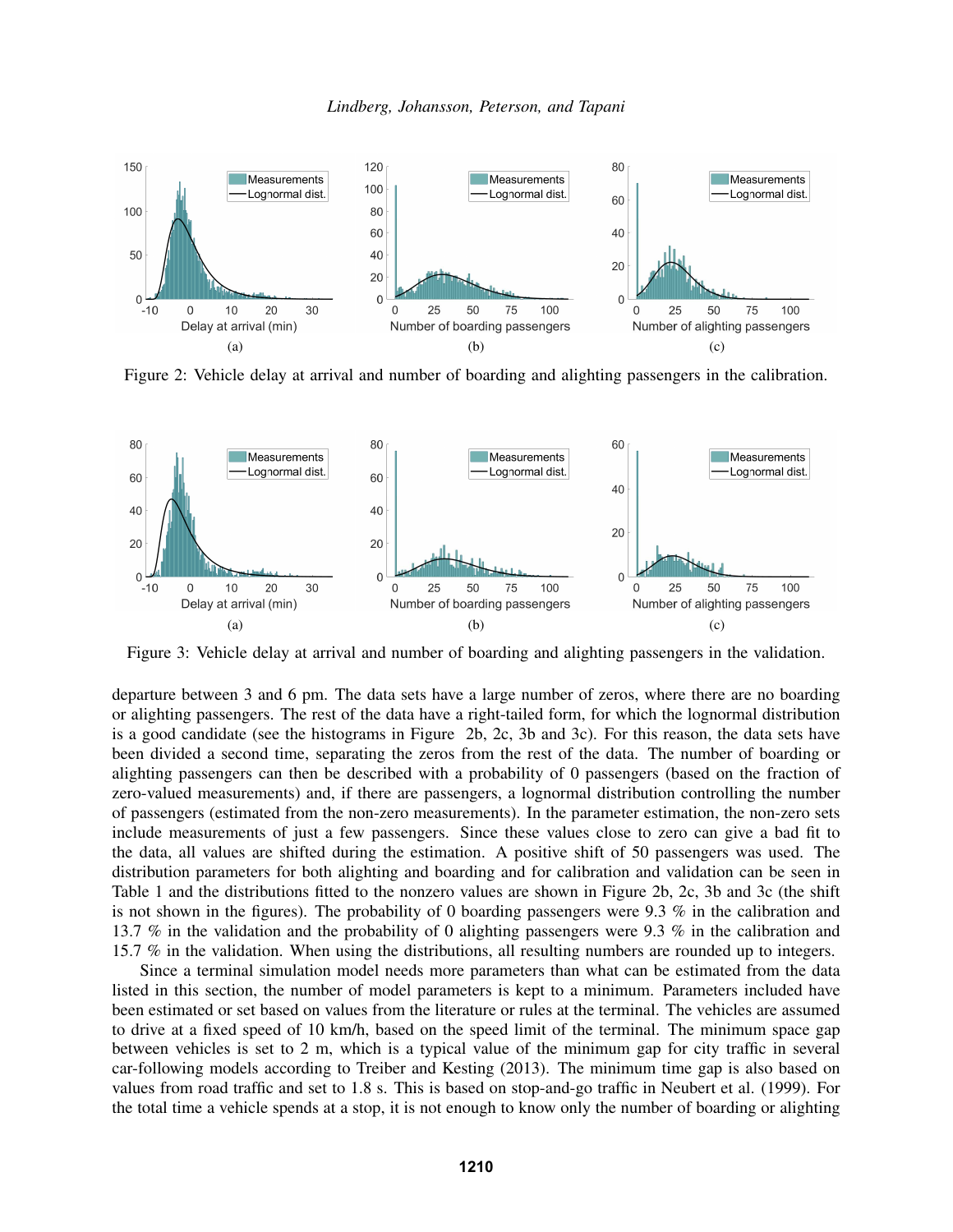<span id="page-4-0"></span>

<span id="page-4-3"></span><span id="page-4-2"></span>Figure 2: Vehicle delay at arrival and number of boarding and alighting passengers in the calibration.

<span id="page-4-1"></span>

<span id="page-4-5"></span><span id="page-4-4"></span>Figure 3: Vehicle delay at arrival and number of boarding and alighting passengers in the validation.

departure between 3 and 6 pm. The data sets have a large number of zeros, where there are no boarding or alighting passengers. The rest of the data have a right-tailed form, for which the lognormal distribution is a good candidate (see the histograms in Figure [2b,](#page-4-2) [2c,](#page-4-3) [3b](#page-4-4) and [3c\)](#page-4-5). For this reason, the data sets have been divided a second time, separating the zeros from the rest of the data. The number of boarding or alighting passengers can then be described with a probability of 0 passengers (based on the fraction of zero-valued measurements) and, if there are passengers, a lognormal distribution controlling the number of passengers (estimated from the non-zero measurements). In the parameter estimation, the non-zero sets include measurements of just a few passengers. Since these values close to zero can give a bad fit to the data, all values are shifted during the estimation. A positive shift of 50 passengers was used. The distribution parameters for both alighting and boarding and for calibration and validation can be seen in Table [1](#page-3-0) and the distributions fitted to the nonzero values are shown in Figure [2b,](#page-4-2) [2c,](#page-4-3) [3b](#page-4-4) and [3c](#page-4-5) (the shift is not shown in the figures). The probability of 0 boarding passengers were 9.3 % in the calibration and 13.7 % in the validation and the probability of 0 alighting passengers were 9.3 % in the calibration and 15.7 % in the validation. When using the distributions, all resulting numbers are rounded up to integers.

Since a terminal simulation model needs more parameters than what can be estimated from the data listed in this section, the number of model parameters is kept to a minimum. Parameters included have been estimated or set based on values from the literature or rules at the terminal. The vehicles are assumed to drive at a fixed speed of 10 km/h, based on the speed limit of the terminal. The minimum space gap between vehicles is set to 2 m, which is a typical value of the minimum gap for city traffic in several car-following models according to [Treiber and Kesting \(2013\).](#page-11-4) The minimum time gap is also based on values from road traffic and set to 1.8 s. This is based on stop-and-go traffic in [Neubert et al. \(1999\).](#page-10-10) For the total time a vehicle spends at a stop, it is not enough to know only the number of boarding or alighting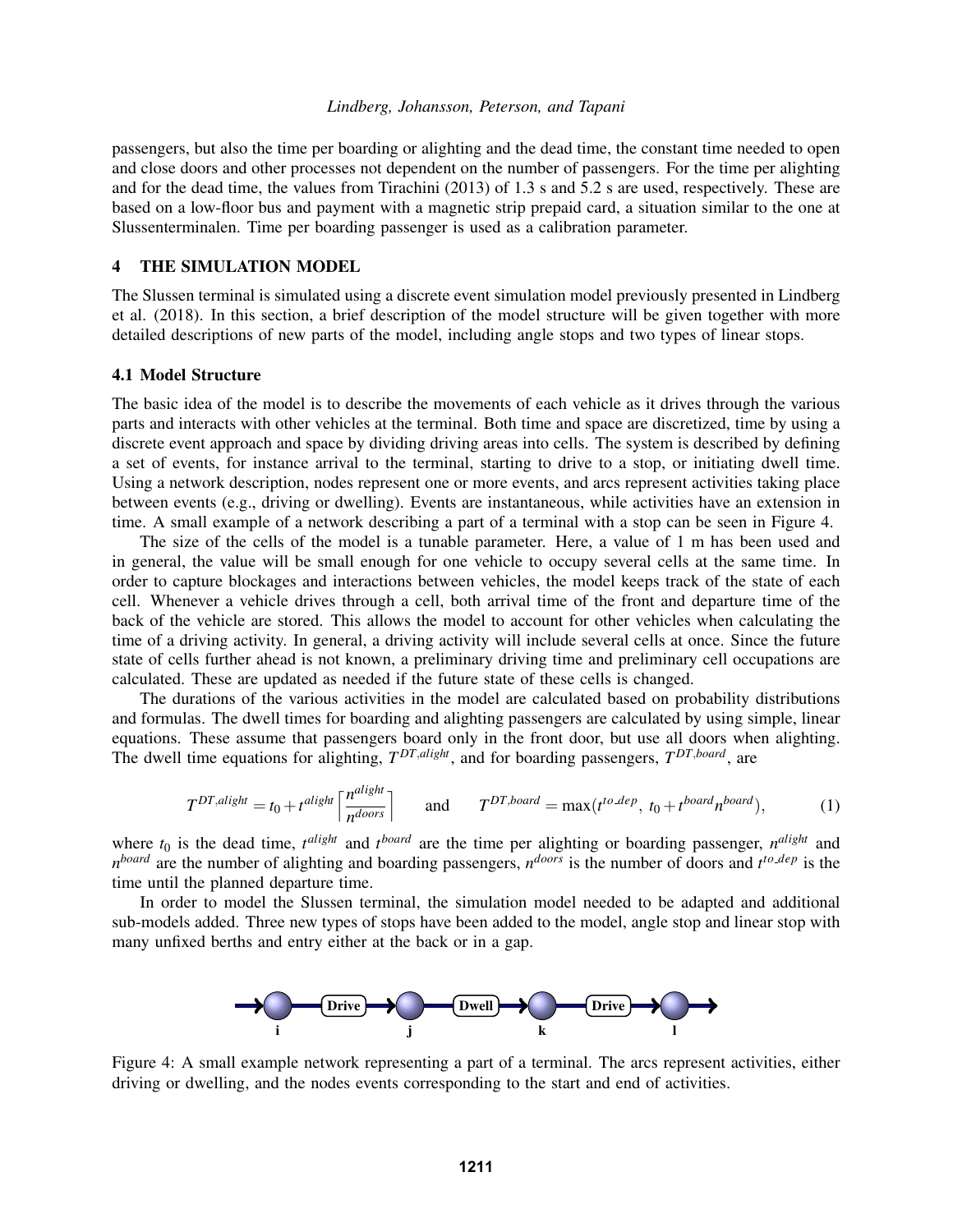passengers, but also the time per boarding or alighting and the dead time, the constant time needed to open and close doors and other processes not dependent on the number of passengers. For the time per alighting and for the dead time, the values from [Tirachini \(2013\)](#page-11-5) of 1.3 s and 5.2 s are used, respectively. These are based on a low-floor bus and payment with a magnetic strip prepaid card, a situation similar to the one at Slussenterminalen. Time per boarding passenger is used as a calibration parameter.

#### <span id="page-5-0"></span>4 THE SIMULATION MODEL

The Slussen terminal is simulated using a discrete event simulation model previously presented in [Lindberg](#page-10-2) [et al. \(2018\).](#page-10-2) In this section, a brief description of the model structure will be given together with more detailed descriptions of new parts of the model, including angle stops and two types of linear stops.

#### 4.1 Model Structure

The basic idea of the model is to describe the movements of each vehicle as it drives through the various parts and interacts with other vehicles at the terminal. Both time and space are discretized, time by using a discrete event approach and space by dividing driving areas into cells. The system is described by defining a set of events, for instance arrival to the terminal, starting to drive to a stop, or initiating dwell time. Using a network description, nodes represent one or more events, and arcs represent activities taking place between events (e.g., driving or dwelling). Events are instantaneous, while activities have an extension in time. A small example of a network describing a part of a terminal with a stop can be seen in Figure [4.](#page-5-1)

The size of the cells of the model is a tunable parameter. Here, a value of 1 m has been used and in general, the value will be small enough for one vehicle to occupy several cells at the same time. In order to capture blockages and interactions between vehicles, the model keeps track of the state of each cell. Whenever a vehicle drives through a cell, both arrival time of the front and departure time of the back of the vehicle are stored. This allows the model to account for other vehicles when calculating the time of a driving activity. In general, a driving activity will include several cells at once. Since the future state of cells further ahead is not known, a preliminary driving time and preliminary cell occupations are calculated. These are updated as needed if the future state of these cells is changed.

The durations of the various activities in the model are calculated based on probability distributions and formulas. The dwell times for boarding and alighting passengers are calculated by using simple, linear equations. These assume that passengers board only in the front door, but use all doors when alighting. The dwell time equations for alighting, *T DT*,*alight*, and for boarding passengers, *T DT*,*board*, are

<span id="page-5-2"></span>
$$
T^{DT,align} = t_0 + t^{align} \left[ \frac{n^{align}}{n^{door}} \right] \quad \text{and} \quad T^{DT,board} = \max(t^{to,dep}, t_0 + t^{board} n^{board}), \tag{1}
$$

where  $t_0$  is the dead time,  $t^{align}$  and  $t^{board}$  are the time per alighting or boarding passenger,  $n^{align}$  and *n*<sup>board</sup> are the number of alighting and boarding passengers, *n*<sup>doors</sup> is the number of doors and *t*<sup>to dep</sup> is the time until the planned departure time.

<span id="page-5-1"></span>In order to model the Slussen terminal, the simulation model needed to be adapted and additional sub-models added. Three new types of stops have been added to the model, angle stop and linear stop with many unfixed berths and entry either at the back or in a gap.



Figure 4: A small example network representing a part of a terminal. The arcs represent activities, either driving or dwelling, and the nodes events corresponding to the start and end of activities.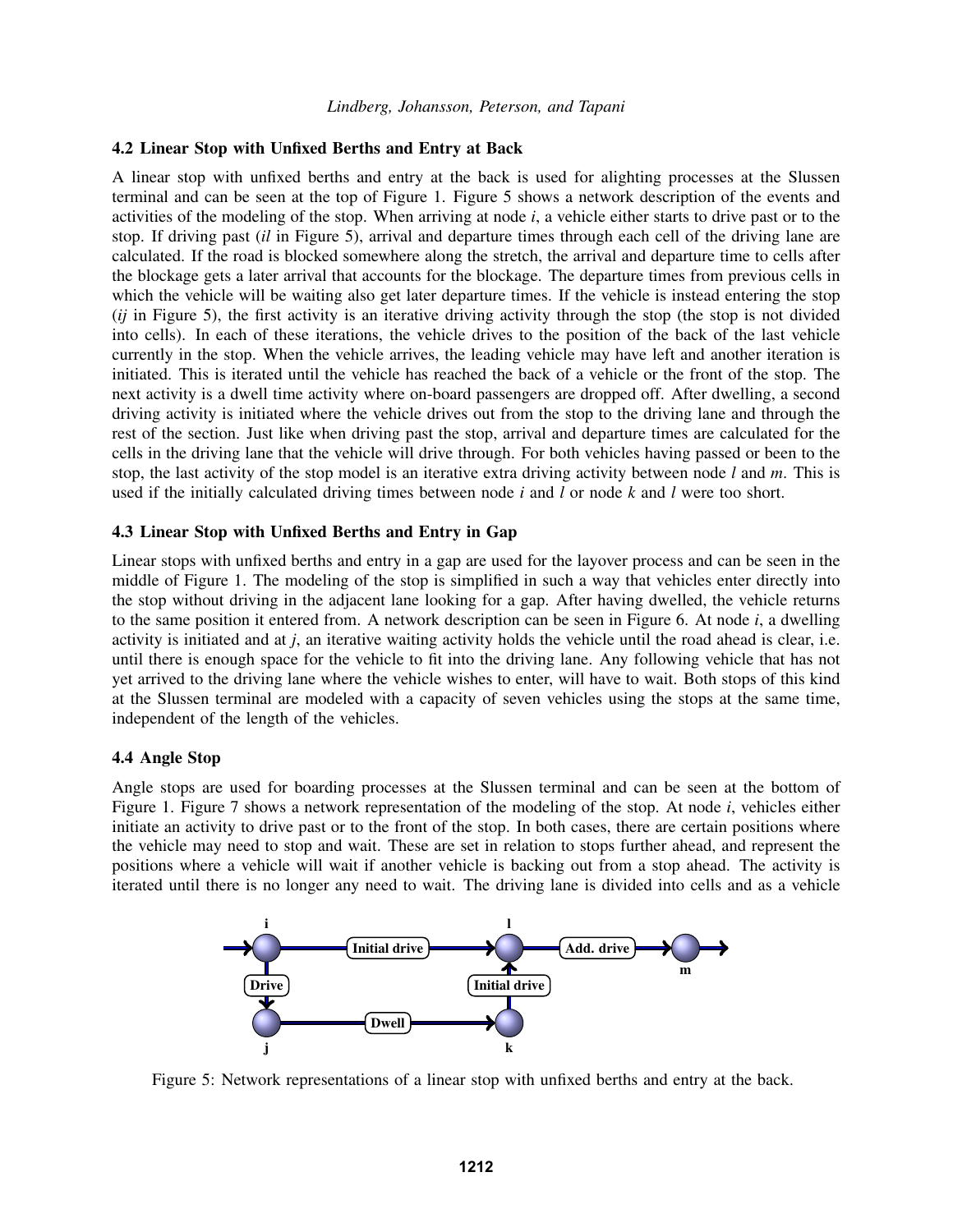# 4.2 Linear Stop with Unfixed Berths and Entry at Back

A linear stop with unfixed berths and entry at the back is used for alighting processes at the Slussen terminal and can be seen at the top of Figure [1.](#page-2-0) Figure [5](#page-6-0) shows a network description of the events and activities of the modeling of the stop. When arriving at node *i*, a vehicle either starts to drive past or to the stop. If driving past (*il* in Figure [5\)](#page-6-0), arrival and departure times through each cell of the driving lane are calculated. If the road is blocked somewhere along the stretch, the arrival and departure time to cells after the blockage gets a later arrival that accounts for the blockage. The departure times from previous cells in which the vehicle will be waiting also get later departure times. If the vehicle is instead entering the stop (*ij* in Figure [5\)](#page-6-0), the first activity is an iterative driving activity through the stop (the stop is not divided into cells). In each of these iterations, the vehicle drives to the position of the back of the last vehicle currently in the stop. When the vehicle arrives, the leading vehicle may have left and another iteration is initiated. This is iterated until the vehicle has reached the back of a vehicle or the front of the stop. The next activity is a dwell time activity where on-board passengers are dropped off. After dwelling, a second driving activity is initiated where the vehicle drives out from the stop to the driving lane and through the rest of the section. Just like when driving past the stop, arrival and departure times are calculated for the cells in the driving lane that the vehicle will drive through. For both vehicles having passed or been to the stop, the last activity of the stop model is an iterative extra driving activity between node *l* and *m*. This is used if the initially calculated driving times between node *i* and *l* or node *k* and *l* were too short.

### 4.3 Linear Stop with Unfixed Berths and Entry in Gap

Linear stops with unfixed berths and entry in a gap are used for the layover process and can be seen in the middle of Figure [1.](#page-2-0) The modeling of the stop is simplified in such a way that vehicles enter directly into the stop without driving in the adjacent lane looking for a gap. After having dwelled, the vehicle returns to the same position it entered from. A network description can be seen in Figure [6.](#page-7-1) At node *i*, a dwelling activity is initiated and at *j*, an iterative waiting activity holds the vehicle until the road ahead is clear, i.e. until there is enough space for the vehicle to fit into the driving lane. Any following vehicle that has not yet arrived to the driving lane where the vehicle wishes to enter, will have to wait. Both stops of this kind at the Slussen terminal are modeled with a capacity of seven vehicles using the stops at the same time, independent of the length of the vehicles.

# 4.4 Angle Stop

Angle stops are used for boarding processes at the Slussen terminal and can be seen at the bottom of Figure [1.](#page-2-0) Figure [7](#page-7-2) shows a network representation of the modeling of the stop. At node *i*, vehicles either initiate an activity to drive past or to the front of the stop. In both cases, there are certain positions where the vehicle may need to stop and wait. These are set in relation to stops further ahead, and represent the positions where a vehicle will wait if another vehicle is backing out from a stop ahead. The activity is iterated until there is no longer any need to wait. The driving lane is divided into cells and as a vehicle

<span id="page-6-0"></span>

Figure 5: Network representations of a linear stop with unfixed berths and entry at the back.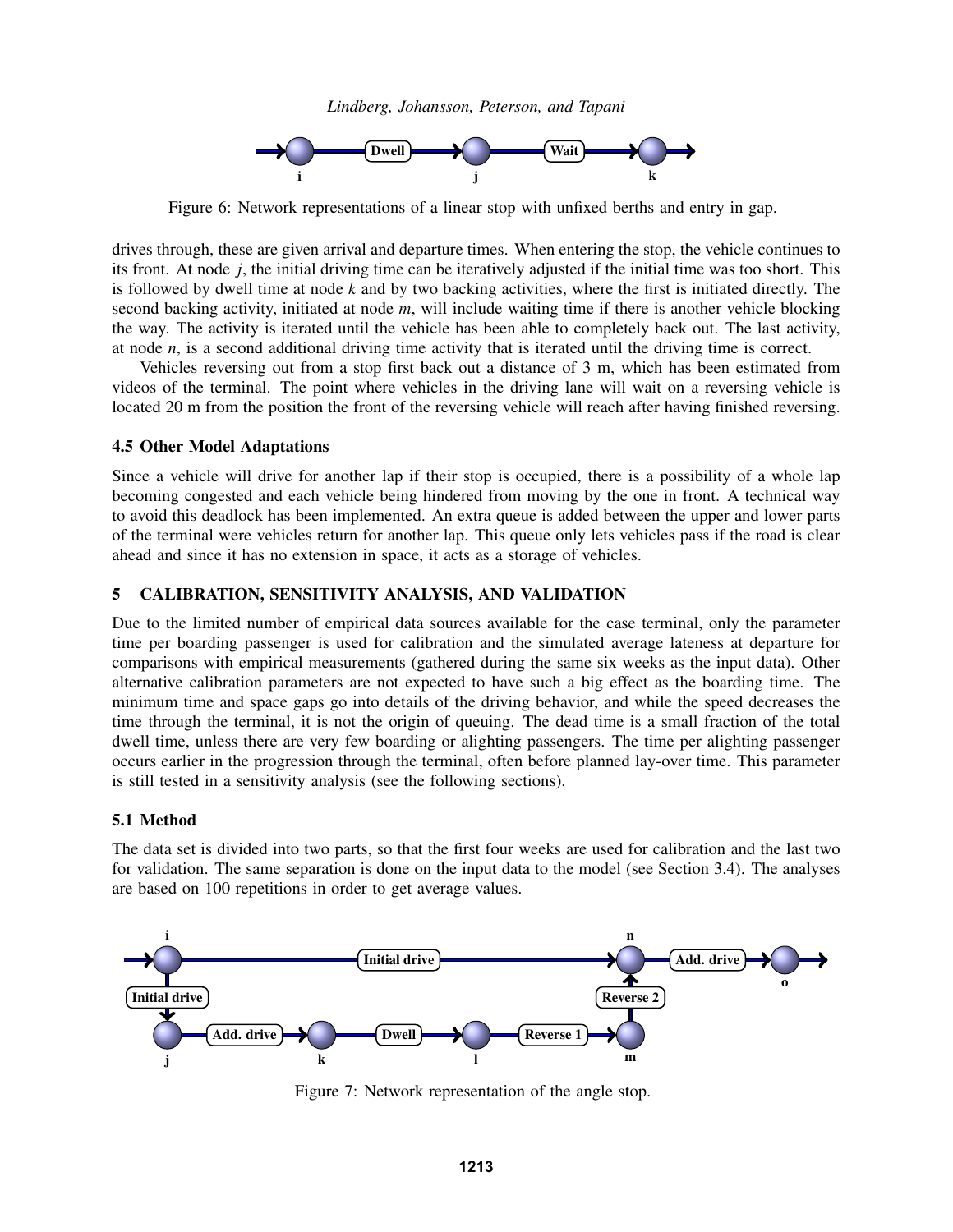

<span id="page-7-1"></span>Figure 6: Network representations of a linear stop with unfixed berths and entry in gap.

drives through, these are given arrival and departure times. When entering the stop, the vehicle continues to its front. At node *j*, the initial driving time can be iteratively adjusted if the initial time was too short. This is followed by dwell time at node *k* and by two backing activities, where the first is initiated directly. The second backing activity, initiated at node *m*, will include waiting time if there is another vehicle blocking the way. The activity is iterated until the vehicle has been able to completely back out. The last activity, at node *n*, is a second additional driving time activity that is iterated until the driving time is correct.

Vehicles reversing out from a stop first back out a distance of 3 m, which has been estimated from videos of the terminal. The point where vehicles in the driving lane will wait on a reversing vehicle is located 20 m from the position the front of the reversing vehicle will reach after having finished reversing.

# 4.5 Other Model Adaptations

Since a vehicle will drive for another lap if their stop is occupied, there is a possibility of a whole lap becoming congested and each vehicle being hindered from moving by the one in front. A technical way to avoid this deadlock has been implemented. An extra queue is added between the upper and lower parts of the terminal were vehicles return for another lap. This queue only lets vehicles pass if the road is clear ahead and since it has no extension in space, it acts as a storage of vehicles.

# <span id="page-7-0"></span>5 CALIBRATION, SENSITIVITY ANALYSIS, AND VALIDATION

Due to the limited number of empirical data sources available for the case terminal, only the parameter time per boarding passenger is used for calibration and the simulated average lateness at departure for comparisons with empirical measurements (gathered during the same six weeks as the input data). Other alternative calibration parameters are not expected to have such a big effect as the boarding time. The minimum time and space gaps go into details of the driving behavior, and while the speed decreases the time through the terminal, it is not the origin of queuing. The dead time is a small fraction of the total dwell time, unless there are very few boarding or alighting passengers. The time per alighting passenger occurs earlier in the progression through the terminal, often before planned lay-over time. This parameter is still tested in a sensitivity analysis (see the following sections).

# 5.1 Method

The data set is divided into two parts, so that the first four weeks are used for calibration and the last two for validation. The same separation is done on the input data to the model (see Section [3.4\)](#page-3-1). The analyses are based on 100 repetitions in order to get average values.

<span id="page-7-2"></span>

Figure 7: Network representation of the angle stop.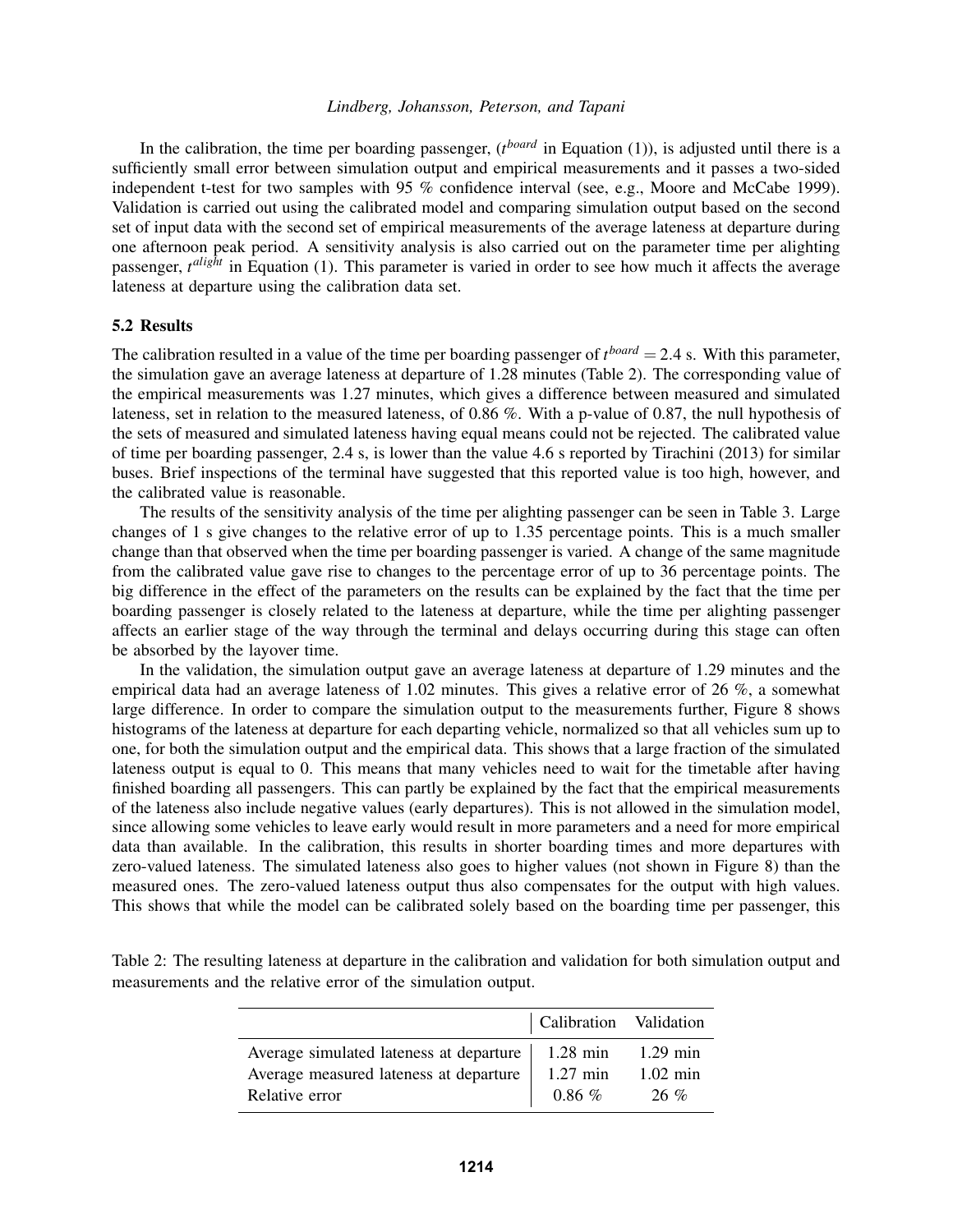In the calibration, the time per boarding passenger, (*t*<sup>board</sup> in Equation [\(1\)](#page-5-2)), is adjusted until there is a sufficiently small error between simulation output and empirical measurements and it passes a two-sided independent t-test for two samples with 95 % confidence interval (see, e.g., [Moore and McCabe 1999\)](#page-10-11). Validation is carried out using the calibrated model and comparing simulation output based on the second set of input data with the second set of empirical measurements of the average lateness at departure during one afternoon peak period. A sensitivity analysis is also carried out on the parameter time per alighting passenger, *t*<sup>alight</sup> in Equation [\(1\)](#page-5-2). This parameter is varied in order to see how much it affects the average lateness at departure using the calibration data set.

#### 5.2 Results

The calibration resulted in a value of the time per boarding passenger of  $t^{board} = 2.4$  s. With this parameter, the simulation gave an average lateness at departure of 1.28 minutes (Table [2\)](#page-8-0). The corresponding value of the empirical measurements was 1.27 minutes, which gives a difference between measured and simulated lateness, set in relation to the measured lateness, of 0.86 %. With a p-value of 0.87, the null hypothesis of the sets of measured and simulated lateness having equal means could not be rejected. The calibrated value of time per boarding passenger, 2.4 s, is lower than the value 4.6 s reported by Tirachini (2013) for similar buses. Brief inspections of the terminal have suggested that this reported value is too high, however, and the calibrated value is reasonable.

The results of the sensitivity analysis of the time per alighting passenger can be seen in Table [3.](#page-9-0) Large changes of 1 s give changes to the relative error of up to 1.35 percentage points. This is a much smaller change than that observed when the time per boarding passenger is varied. A change of the same magnitude from the calibrated value gave rise to changes to the percentage error of up to 36 percentage points. The big difference in the effect of the parameters on the results can be explained by the fact that the time per boarding passenger is closely related to the lateness at departure, while the time per alighting passenger affects an earlier stage of the way through the terminal and delays occurring during this stage can often be absorbed by the layover time.

In the validation, the simulation output gave an average lateness at departure of 1.29 minutes and the empirical data had an average lateness of 1.02 minutes. This gives a relative error of 26 %, a somewhat large difference. In order to compare the simulation output to the measurements further, Figure [8](#page-9-1) shows histograms of the lateness at departure for each departing vehicle, normalized so that all vehicles sum up to one, for both the simulation output and the empirical data. This shows that a large fraction of the simulated lateness output is equal to 0. This means that many vehicles need to wait for the timetable after having finished boarding all passengers. This can partly be explained by the fact that the empirical measurements of the lateness also include negative values (early departures). This is not allowed in the simulation model, since allowing some vehicles to leave early would result in more parameters and a need for more empirical data than available. In the calibration, this results in shorter boarding times and more departures with zero-valued lateness. The simulated lateness also goes to higher values (not shown in Figure [8\)](#page-9-1) than the measured ones. The zero-valued lateness output thus also compensates for the output with high values. This shows that while the model can be calibrated solely based on the boarding time per passenger, this

|                                         | Calibration Validation |            |
|-----------------------------------------|------------------------|------------|
| Average simulated lateness at departure | $1.28$ min             | $1.29$ min |
| Average measured lateness at departure  | $1.27$ min             | $1.02$ min |
| Relative error                          | $0.86\%$               | $26\%$     |

<span id="page-8-0"></span>Table 2: The resulting lateness at departure in the calibration and validation for both simulation output and measurements and the relative error of the simulation output.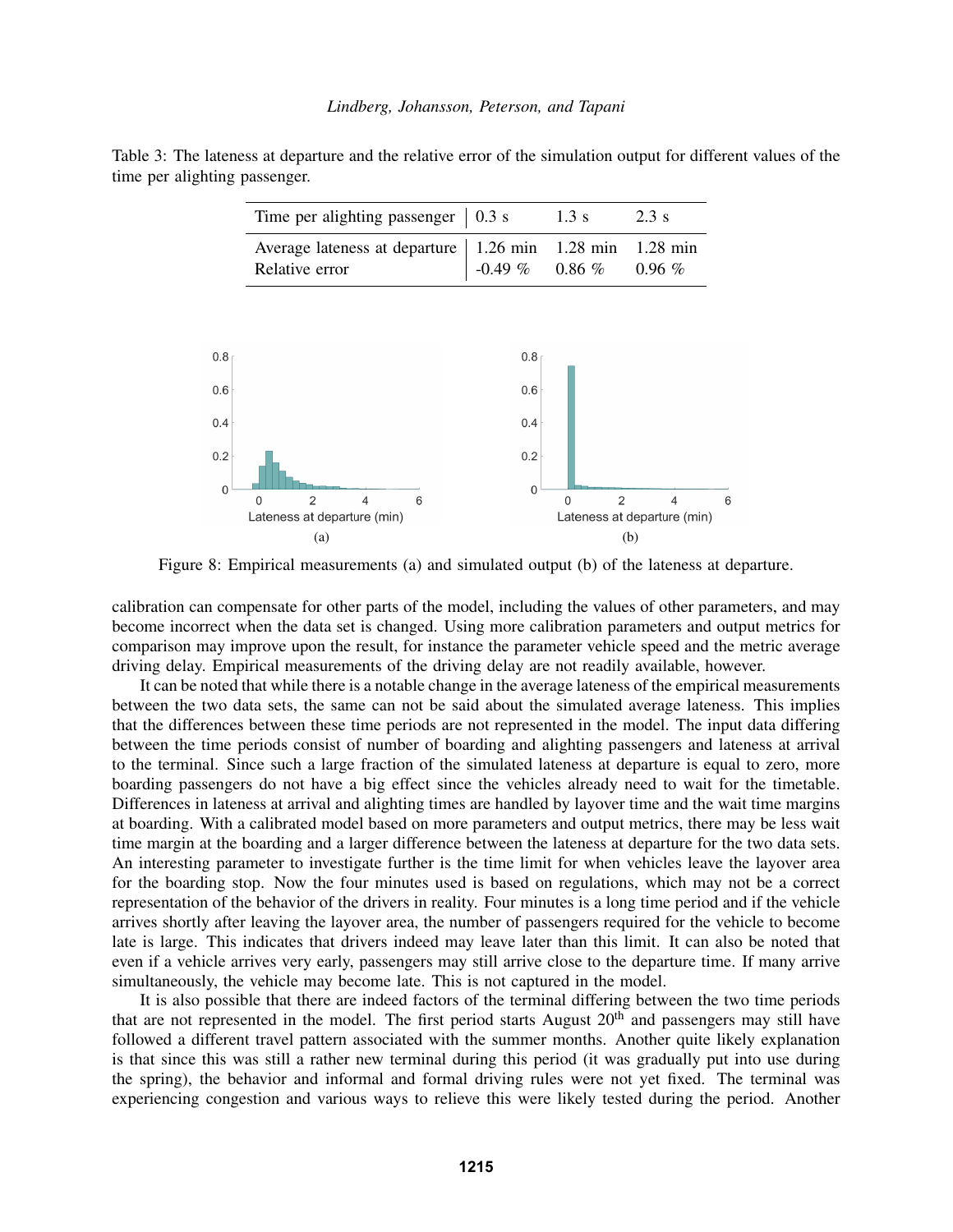<span id="page-9-0"></span>Table 3: The lateness at departure and the relative error of the simulation output for different values of the time per alighting passenger.

| Time per alighting passenger $\vert$ 0.3 s                 |                  | $1.3 \text{ s}$ | 2.3 s        |
|------------------------------------------------------------|------------------|-----------------|--------------|
| Average lateness at departure   1.26 min 1.28 min 1.28 min |                  |                 |              |
| Relative error                                             | $-0.49\%$ 0.86 % |                 | $0.96\,\,\%$ |

<span id="page-9-1"></span>

Figure 8: Empirical measurements (a) and simulated output (b) of the lateness at departure.

calibration can compensate for other parts of the model, including the values of other parameters, and may become incorrect when the data set is changed. Using more calibration parameters and output metrics for comparison may improve upon the result, for instance the parameter vehicle speed and the metric average driving delay. Empirical measurements of the driving delay are not readily available, however.

It can be noted that while there is a notable change in the average lateness of the empirical measurements between the two data sets, the same can not be said about the simulated average lateness. This implies that the differences between these time periods are not represented in the model. The input data differing between the time periods consist of number of boarding and alighting passengers and lateness at arrival to the terminal. Since such a large fraction of the simulated lateness at departure is equal to zero, more boarding passengers do not have a big effect since the vehicles already need to wait for the timetable. Differences in lateness at arrival and alighting times are handled by layover time and the wait time margins at boarding. With a calibrated model based on more parameters and output metrics, there may be less wait time margin at the boarding and a larger difference between the lateness at departure for the two data sets. An interesting parameter to investigate further is the time limit for when vehicles leave the layover area for the boarding stop. Now the four minutes used is based on regulations, which may not be a correct representation of the behavior of the drivers in reality. Four minutes is a long time period and if the vehicle arrives shortly after leaving the layover area, the number of passengers required for the vehicle to become late is large. This indicates that drivers indeed may leave later than this limit. It can also be noted that even if a vehicle arrives very early, passengers may still arrive close to the departure time. If many arrive simultaneously, the vehicle may become late. This is not captured in the model.

It is also possible that there are indeed factors of the terminal differing between the two time periods that are not represented in the model. The first period starts August 20<sup>th</sup> and passengers may still have followed a different travel pattern associated with the summer months. Another quite likely explanation is that since this was still a rather new terminal during this period (it was gradually put into use during the spring), the behavior and informal and formal driving rules were not yet fixed. The terminal was experiencing congestion and various ways to relieve this were likely tested during the period. Another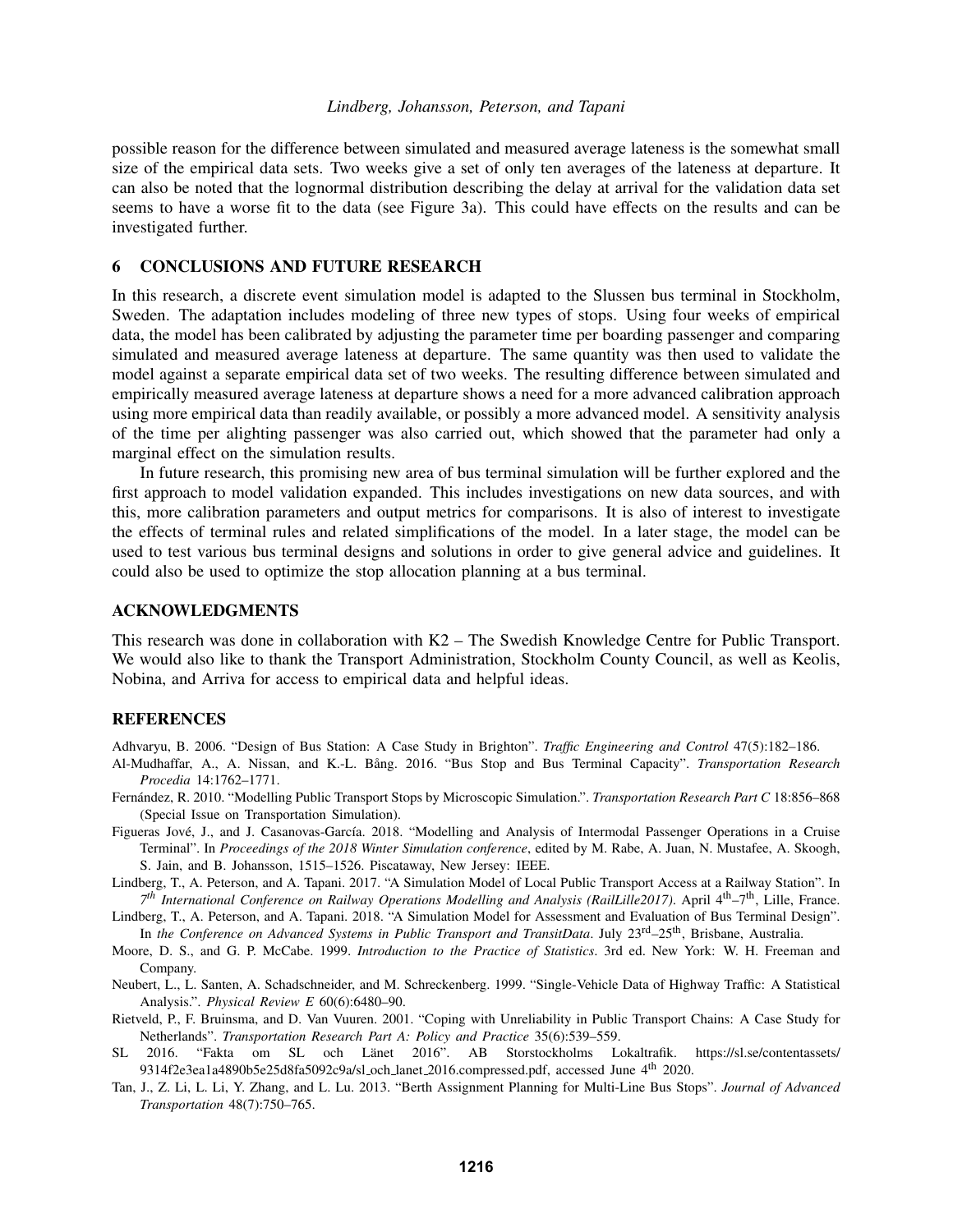possible reason for the difference between simulated and measured average lateness is the somewhat small size of the empirical data sets. Two weeks give a set of only ten averages of the lateness at departure. It can also be noted that the lognormal distribution describing the delay at arrival for the validation data set seems to have a worse fit to the data (see Figure [3a\)](#page-4-1). This could have effects on the results and can be investigated further.

# <span id="page-10-3"></span>6 CONCLUSIONS AND FUTURE RESEARCH

In this research, a discrete event simulation model is adapted to the Slussen bus terminal in Stockholm, Sweden. The adaptation includes modeling of three new types of stops. Using four weeks of empirical data, the model has been calibrated by adjusting the parameter time per boarding passenger and comparing simulated and measured average lateness at departure. The same quantity was then used to validate the model against a separate empirical data set of two weeks. The resulting difference between simulated and empirically measured average lateness at departure shows a need for a more advanced calibration approach using more empirical data than readily available, or possibly a more advanced model. A sensitivity analysis of the time per alighting passenger was also carried out, which showed that the parameter had only a marginal effect on the simulation results.

In future research, this promising new area of bus terminal simulation will be further explored and the first approach to model validation expanded. This includes investigations on new data sources, and with this, more calibration parameters and output metrics for comparisons. It is also of interest to investigate the effects of terminal rules and related simplifications of the model. In a later stage, the model can be used to test various bus terminal designs and solutions in order to give general advice and guidelines. It could also be used to optimize the stop allocation planning at a bus terminal.

### ACKNOWLEDGMENTS

This research was done in collaboration with K2 – The Swedish Knowledge Centre for Public Transport. We would also like to thank the Transport Administration, Stockholm County Council, as well as Keolis, Nobina, and Arriva for access to empirical data and helpful ideas.

### **REFERENCES**

<span id="page-10-4"></span>Adhvaryu, B. 2006. "Design of Bus Station: A Case Study in Brighton". *Traffic Engineering and Control* 47(5):182–186.

- <span id="page-10-0"></span>Al-Mudhaffar, A., A. Nissan, and K.-L. Bang. 2016. "Bus Stop and Bus Terminal Capacity". ˚ *Transportation Research Procedia* 14:1762–1771.
- <span id="page-10-6"></span>Fernández, R. 2010. "Modelling Public Transport Stops by Microscopic Simulation.". Transportation Research Part C 18:856-868 (Special Issue on Transportation Simulation).
- <span id="page-10-5"></span>Figueras Jové, J., and J. Casanovas-García. 2018. "Modelling and Analysis of Intermodal Passenger Operations in a Cruise Terminal". In *Proceedings of the 2018 Winter Simulation conference*, edited by M. Rabe, A. Juan, N. Mustafee, A. Skoogh, S. Jain, and B. Johansson, 1515–1526. Piscataway, New Jersey: IEEE.
- <span id="page-10-1"></span>Lindberg, T., A. Peterson, and A. Tapani. 2017. "A Simulation Model of Local Public Transport Access at a Railway Station". In *7 th International Conference on Railway Operations Modelling and Analysis (RailLille2017)*. April 4th–7th, Lille, France.
- <span id="page-10-2"></span>Lindberg, T., A. Peterson, and A. Tapani. 2018. "A Simulation Model for Assessment and Evaluation of Bus Terminal Design". In *the Conference on Advanced Systems in Public Transport and TransitData*. July 23rd–25th, Brisbane, Australia.
- <span id="page-10-11"></span>Moore, D. S., and G. P. McCabe. 1999. *Introduction to the Practice of Statistics*. 3rd ed. New York: W. H. Freeman and Company.
- <span id="page-10-10"></span>Neubert, L., L. Santen, A. Schadschneider, and M. Schreckenberg. 1999. "Single-Vehicle Data of Highway Traffic: A Statistical Analysis.". *Physical Review E* 60(6):6480–90.
- <span id="page-10-9"></span>Rietveld, P., F. Bruinsma, and D. Van Vuuren. 2001. "Coping with Unreliability in Public Transport Chains: A Case Study for Netherlands". *Transportation Research Part A: Policy and Practice* 35(6):539–559.
- <span id="page-10-8"></span>SL 2016. "Fakta om SL och Länet 2016". AB Storstockholms Lokaltrafik. https://sl.se/contentassets/ 9314f2e3ea1a4890b5e25d8fa5092c9a/sl och lanet 2016.compressed.pdf, accessed June 4th 2020.
- <span id="page-10-7"></span>Tan, J., Z. Li, L. Li, Y. Zhang, and L. Lu. 2013. "Berth Assignment Planning for Multi-Line Bus Stops". *Journal of Advanced Transportation* 48(7):750–765.